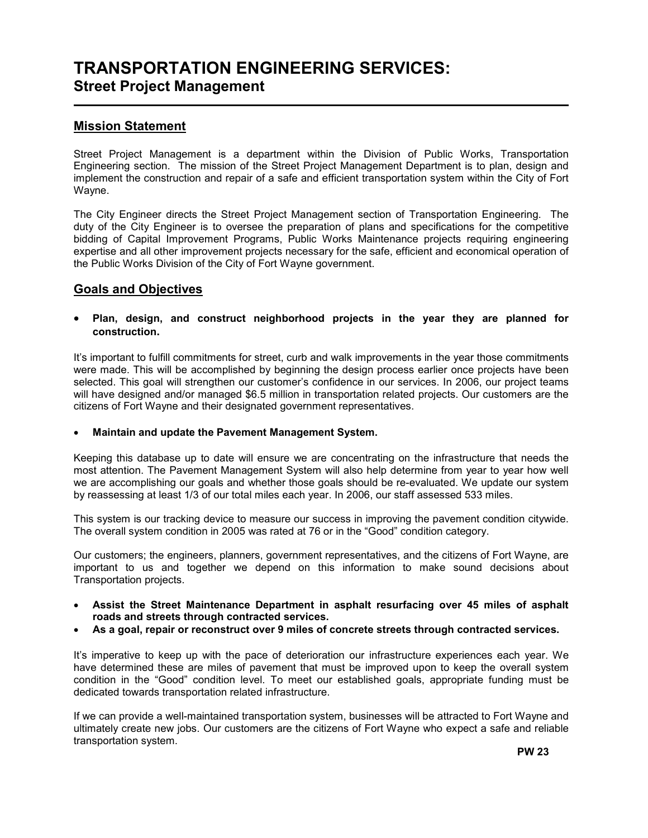# TRANSPORTATION ENGINEERING SERVICES: Street Project Management

### Mission Statement

L

Street Project Management is a department within the Division of Public Works, Transportation Engineering section. The mission of the Street Project Management Department is to plan, design and implement the construction and repair of a safe and efficient transportation system within the City of Fort Wayne.

The City Engineer directs the Street Project Management section of Transportation Engineering. The duty of the City Engineer is to oversee the preparation of plans and specifications for the competitive bidding of Capital Improvement Programs, Public Works Maintenance projects requiring engineering expertise and all other improvement projects necessary for the safe, efficient and economical operation of the Public Works Division of the City of Fort Wayne government.

### Goals and Objectives

#### • Plan, design, and construct neighborhood projects in the year they are planned for construction.

It's important to fulfill commitments for street, curb and walk improvements in the year those commitments were made. This will be accomplished by beginning the design process earlier once projects have been selected. This goal will strengthen our customer's confidence in our services. In 2006, our project teams will have designed and/or managed \$6.5 million in transportation related projects. Our customers are the citizens of Fort Wayne and their designated government representatives.

#### • Maintain and update the Pavement Management System.

Keeping this database up to date will ensure we are concentrating on the infrastructure that needs the most attention. The Pavement Management System will also help determine from year to year how well we are accomplishing our goals and whether those goals should be re-evaluated. We update our system by reassessing at least 1/3 of our total miles each year. In 2006, our staff assessed 533 miles.

This system is our tracking device to measure our success in improving the pavement condition citywide. The overall system condition in 2005 was rated at 76 or in the "Good" condition category.

Our customers; the engineers, planners, government representatives, and the citizens of Fort Wayne, are important to us and together we depend on this information to make sound decisions about Transportation projects.

- Assist the Street Maintenance Department in asphalt resurfacing over 45 miles of asphalt roads and streets through contracted services.
- As a goal, repair or reconstruct over 9 miles of concrete streets through contracted services.

It's imperative to keep up with the pace of deterioration our infrastructure experiences each year. We have determined these are miles of pavement that must be improved upon to keep the overall system condition in the "Good" condition level. To meet our established goals, appropriate funding must be dedicated towards transportation related infrastructure.

If we can provide a well-maintained transportation system, businesses will be attracted to Fort Wayne and ultimately create new jobs. Our customers are the citizens of Fort Wayne who expect a safe and reliable transportation system.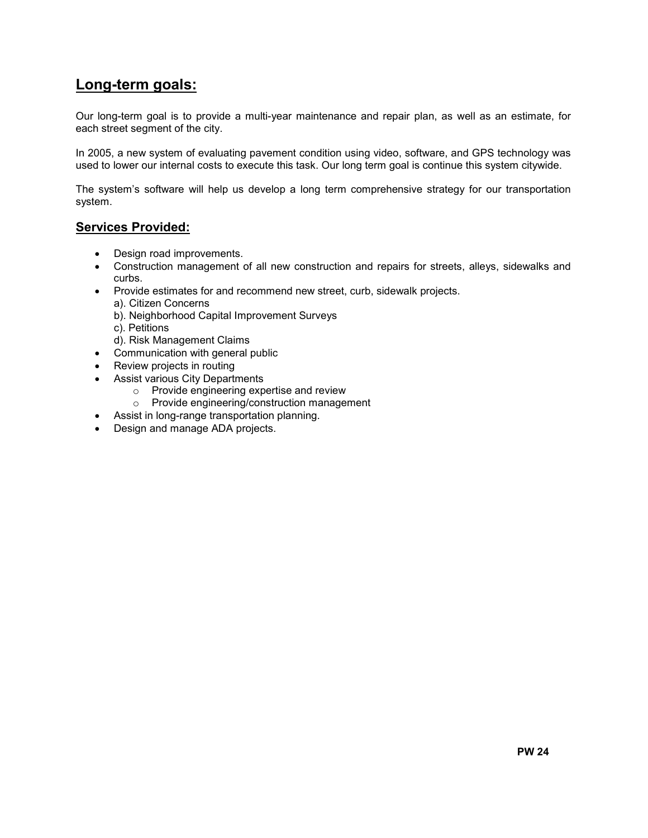## Long-term goals:

Our long-term goal is to provide a multi-year maintenance and repair plan, as well as an estimate, for each street segment of the city.

In 2005, a new system of evaluating pavement condition using video, software, and GPS technology was used to lower our internal costs to execute this task. Our long term goal is continue this system citywide.

The system's software will help us develop a long term comprehensive strategy for our transportation system.

#### Services Provided:

- Design road improvements.
- Construction management of all new construction and repairs for streets, alleys, sidewalks and curbs.
- Provide estimates for and recommend new street, curb, sidewalk projects.
	- a). Citizen Concerns
	- b). Neighborhood Capital Improvement Surveys
	- c). Petitions
	- d). Risk Management Claims
- Communication with general public
- Review projects in routing
- Assist various City Departments
	- o Provide engineering expertise and review
	- o Provide engineering/construction management
- Assist in long-range transportation planning.
- Design and manage ADA projects.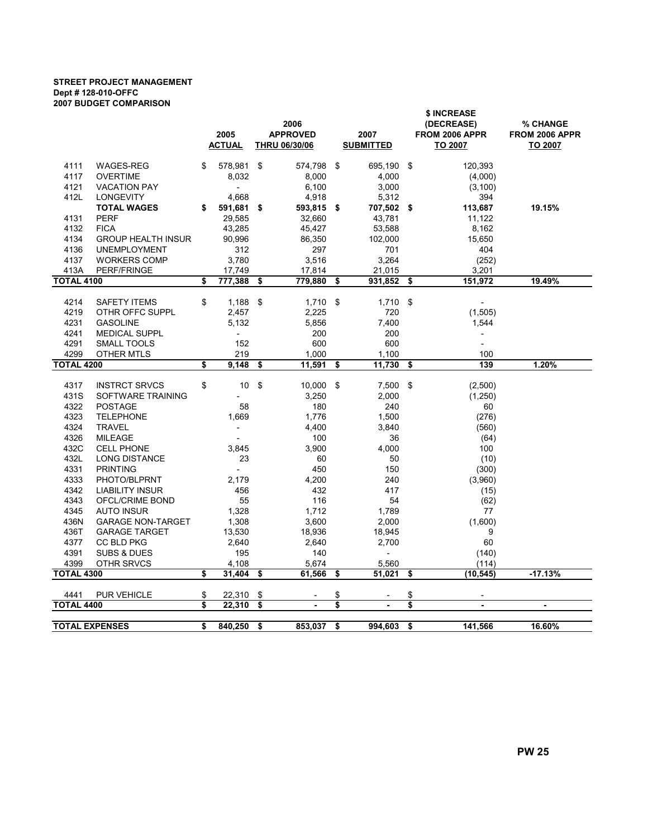#### STREET PROJECT MANAGEMENT Dept # 128-010-OFFC 2007 BUDGET COMPARISON

|                       |                           |                       |                          |    |                      |      | \$ INCREASE              |     |                          |                |  |  |  |
|-----------------------|---------------------------|-----------------------|--------------------------|----|----------------------|------|--------------------------|-----|--------------------------|----------------|--|--|--|
|                       |                           |                       |                          |    | 2006                 |      |                          |     | (DECREASE)               | % CHANGE       |  |  |  |
|                       |                           | 2005<br><b>ACTUAL</b> |                          |    | <b>APPROVED</b>      | 2007 |                          |     | FROM 2006 APPR           | FROM 2006 APPR |  |  |  |
|                       |                           |                       |                          |    | <b>THRU 06/30/06</b> |      | <b>SUBMITTED</b>         |     | TO 2007                  | TO 2007        |  |  |  |
| 4111                  | <b>WAGES-REG</b>          | \$                    | 578,981                  | \$ | 574,798              | \$   | 695,190                  | -\$ | 120,393                  |                |  |  |  |
| 4117                  | <b>OVERTIME</b>           |                       | 8,032                    |    | 8,000                |      | 4,000                    |     | (4,000)                  |                |  |  |  |
| 4121                  | <b>VACATION PAY</b>       |                       | $\overline{a}$           |    | 6,100                |      | 3,000                    |     | (3, 100)                 |                |  |  |  |
| 412L                  | <b>LONGEVITY</b>          |                       | 4,668                    |    | 4,918                |      | 5,312                    |     | 394                      |                |  |  |  |
|                       | <b>TOTAL WAGES</b>        | \$                    | 591,681 \$               |    | 593,815 \$           |      | 707,502 \$               |     | 113,687                  | 19.15%         |  |  |  |
| 4131                  | <b>PERF</b>               |                       | 29,585                   |    | 32,660               |      | 43,781                   |     | 11,122                   |                |  |  |  |
| 4132                  | <b>FICA</b>               |                       | 43,285                   |    | 45,427               |      | 53,588                   |     | 8,162                    |                |  |  |  |
| 4134                  | <b>GROUP HEALTH INSUR</b> |                       | 90,996                   |    | 86,350               |      | 102,000                  |     | 15,650                   |                |  |  |  |
| 4136                  | <b>UNEMPLOYMENT</b>       |                       | 312                      |    | 297                  |      | 701                      |     | 404                      |                |  |  |  |
| 4137                  | <b>WORKERS COMP</b>       |                       | 3,780                    |    | 3,516                |      | 3,264                    |     | (252)                    |                |  |  |  |
| 413A                  | <b>PERF/FRINGE</b>        |                       | 17,749                   |    | 17,814               |      | 21,015                   |     | 3,201                    |                |  |  |  |
| <b>TOTAL 4100</b>     |                           | \$                    | 777,388                  | \$ | 779,880              | \$   | 931,852                  | \$  | 151,972                  | 19.49%         |  |  |  |
|                       |                           |                       |                          |    |                      |      |                          |     |                          |                |  |  |  |
| 4214                  | <b>SAFETY ITEMS</b>       | \$                    | $1,188$ \$               |    | $1,710$ \$           |      | $1,710$ \$               |     |                          |                |  |  |  |
| 4219                  | OTHR OFFC SUPPL           |                       | 2,457                    |    | 2,225                |      | 720                      |     | (1,505)                  |                |  |  |  |
| 4231                  | <b>GASOLINE</b>           |                       | 5,132                    |    | 5,856                |      | 7,400                    |     | 1,544                    |                |  |  |  |
| 4241                  | <b>MEDICAL SUPPL</b>      |                       | $\overline{\phantom{a}}$ |    | 200                  |      | 200                      |     |                          |                |  |  |  |
| 4291                  | SMALL TOOLS               |                       | 152                      |    | 600                  |      | 600                      |     |                          |                |  |  |  |
| 4299                  | OTHER MTLS                |                       | 219                      |    | 1,000                |      | 1,100                    |     | 100                      |                |  |  |  |
| <b>TOTAL 4200</b>     |                           | \$                    | 9,148                    | \$ | 11,591               | \$   | 11,730                   | \$  | 139                      | 1.20%          |  |  |  |
| 4317                  | <b>INSTRCT SRVCS</b>      | \$                    | 10                       | \$ | 10,000               | -\$  | $7,500$ \$               |     | (2,500)                  |                |  |  |  |
| 431S                  | SOFTWARE TRAINING         |                       |                          |    | 3,250                |      | 2,000                    |     | (1,250)                  |                |  |  |  |
| 4322                  | <b>POSTAGE</b>            |                       | 58                       |    | 180                  |      | 240                      |     | 60                       |                |  |  |  |
| 4323                  | <b>TELEPHONE</b>          |                       | 1,669                    |    | 1,776                |      | 1,500                    |     | (276)                    |                |  |  |  |
| 4324                  | <b>TRAVEL</b>             |                       | $\overline{\phantom{a}}$ |    | 4,400                |      | 3,840                    |     | (560)                    |                |  |  |  |
| 4326                  | <b>MILEAGE</b>            |                       |                          |    | 100                  |      | 36                       |     | (64)                     |                |  |  |  |
| 432C                  | <b>CELL PHONE</b>         |                       | 3,845                    |    | 3,900                |      | 4,000                    |     | 100                      |                |  |  |  |
| 432L                  | <b>LONG DISTANCE</b>      |                       | 23                       |    | 60                   |      | 50                       |     | (10)                     |                |  |  |  |
| 4331                  | <b>PRINTING</b>           |                       |                          |    | 450                  |      | 150                      |     | (300)                    |                |  |  |  |
| 4333                  | PHOTO/BLPRNT              |                       | 2,179                    |    | 4,200                |      | 240                      |     | (3,960)                  |                |  |  |  |
| 4342                  | <b>LIABILITY INSUR</b>    |                       | 456                      |    | 432                  |      | 417                      |     | (15)                     |                |  |  |  |
| 4343                  | OFCL/CRIME BOND           |                       | 55                       |    | 116                  |      | 54                       |     | (62)                     |                |  |  |  |
| 4345                  | <b>AUTO INSUR</b>         |                       | 1,328                    |    | 1,712                |      | 1,789                    |     | 77                       |                |  |  |  |
| 436N                  | <b>GARAGE NON-TARGET</b>  |                       | 1,308                    |    | 3,600                |      | 2,000                    |     | (1,600)                  |                |  |  |  |
| 436T                  | <b>GARAGE TARGET</b>      |                       | 13,530                   |    | 18,936               |      | 18,945                   |     | 9                        |                |  |  |  |
| 4377                  | <b>CC BLD PKG</b>         |                       | 2,640                    |    | 2,640                |      | 2,700                    |     | 60                       |                |  |  |  |
| 4391                  | <b>SUBS &amp; DUES</b>    |                       | 195                      |    | 140                  |      | $\overline{\phantom{a}}$ |     |                          |                |  |  |  |
| 4399                  | OTHR SRVCS                |                       | 4,108                    |    | 5,674                |      | 5,560                    |     | (140)<br>(114)           |                |  |  |  |
| <b>TOTAL 4300</b>     |                           | \$                    | 31,404                   | \$ | 61,566               | \$   | 51,021                   | \$  | (10, 545)                | $-17.13%$      |  |  |  |
|                       |                           |                       |                          |    |                      |      |                          |     |                          |                |  |  |  |
| 4441                  | PUR VEHICLE               | \$                    | 22,310                   | \$ |                      | \$   |                          | \$  | $\overline{\phantom{a}}$ |                |  |  |  |
| <b>TOTAL 4400</b>     |                           | \$                    | 22,310                   | \$ |                      | \$   |                          | \$  |                          | $\blacksquare$ |  |  |  |
|                       |                           |                       |                          |    |                      |      |                          |     |                          |                |  |  |  |
| <b>TOTAL EXPENSES</b> |                           | \$                    | 840,250                  | \$ | 853,037              | \$   | 994,603                  | \$  | 141,566                  | 16.60%         |  |  |  |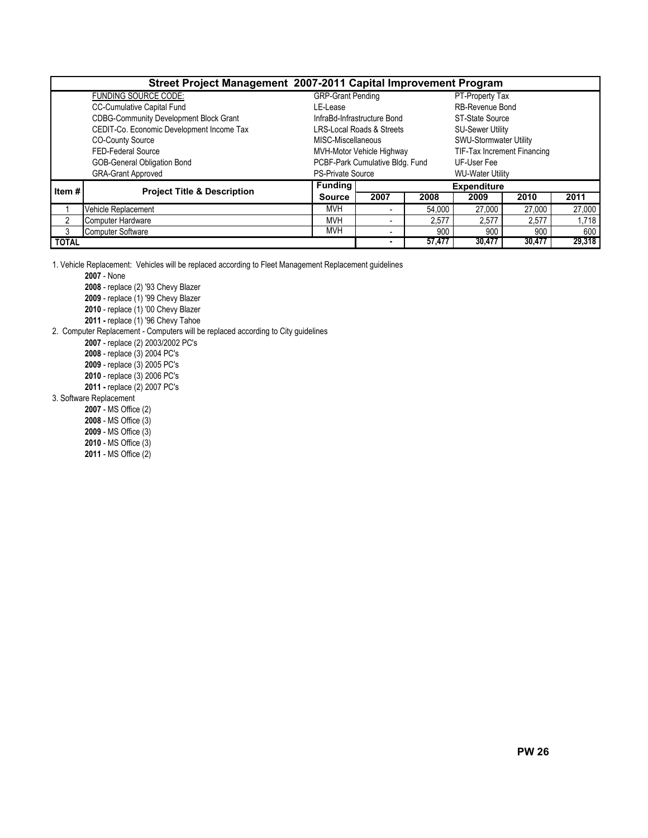| Street Project Management 2007-2011 Capital Improvement Program |                                               |                          |                                 |        |                               |        |        |  |  |  |  |
|-----------------------------------------------------------------|-----------------------------------------------|--------------------------|---------------------------------|--------|-------------------------------|--------|--------|--|--|--|--|
|                                                                 | <b>FUNDING SOURCE CODE:</b>                   | <b>GRP-Grant Pending</b> |                                 |        | PT-Property Tax               |        |        |  |  |  |  |
|                                                                 | CC-Cumulative Capital Fund                    | LE-Lease                 |                                 |        | RB-Revenue Bond               |        |        |  |  |  |  |
|                                                                 | <b>CDBG-Community Development Block Grant</b> |                          | InfraBd-Infrastructure Bond     |        | ST-State Source               |        |        |  |  |  |  |
|                                                                 | CEDIT-Co. Economic Development Income Tax     |                          | LRS-Local Roads & Streets       |        | <b>SU-Sewer Utility</b>       |        |        |  |  |  |  |
|                                                                 | <b>CO-County Source</b>                       | MISC-Miscellaneous       |                                 |        | <b>SWU-Stormwater Utility</b> |        |        |  |  |  |  |
|                                                                 | FED-Federal Source                            |                          | MVH-Motor Vehicle Highway       |        | TIF-Tax Increment Financing   |        |        |  |  |  |  |
|                                                                 | <b>GOB-General Obligation Bond</b>            |                          | PCBF-Park Cumulative Bldg. Fund |        | UF-User Fee                   |        |        |  |  |  |  |
|                                                                 | <b>GRA-Grant Approved</b>                     | <b>PS-Private Source</b> |                                 |        | <b>WU-Water Utility</b>       |        |        |  |  |  |  |
| Item $#$                                                        | <b>Project Title &amp; Description</b>        | <b>Funding</b>           |                                 |        | <b>Expenditure</b>            |        |        |  |  |  |  |
|                                                                 |                                               | <b>Source</b>            | 2007                            | 2008   | 2009                          | 2010   | 2011   |  |  |  |  |
|                                                                 | Vehicle Replacement                           | <b>MVH</b>               |                                 | 54.000 | 27,000                        | 27,000 | 27,000 |  |  |  |  |
| 2                                                               | Computer Hardware                             | <b>MVH</b>               | ۰                               | 2,577  | 2,577                         | 2,577  | 1,718  |  |  |  |  |
| 3                                                               | <b>Computer Software</b>                      | <b>MVH</b>               | ٠                               | 900    | 900                           | 900    | 600    |  |  |  |  |
| <b>TOTAL</b>                                                    |                                               |                          | ۰                               | 57,477 | 30,477                        | 30,477 | 29,318 |  |  |  |  |

1. Vehicle Replacement: Vehicles will be replaced according to Fleet Management Replacement guidelines

2007 - None

2008 - replace (2) '93 Chevy Blazer

2009 - replace (1) '99 Chevy Blazer

2010 - replace (1) '00 Chevy Blazer

2011 - replace (1) '96 Chevy Tahoe

2. Computer Replacement - Computers will be replaced according to City guidelines

2007 - replace (2) 2003/2002 PC's

2008 - replace (3) 2004 PC's

2009 - replace (3) 2005 PC's

2010 - replace (3) 2006 PC's

2011 - replace (2) 2007 PC's

3. Software Replacement

2007 - MS Office (2)

2008 - MS Office (3)

2009 - MS Office (3)

2010 - MS Office (3)

2011 - MS Office (2)